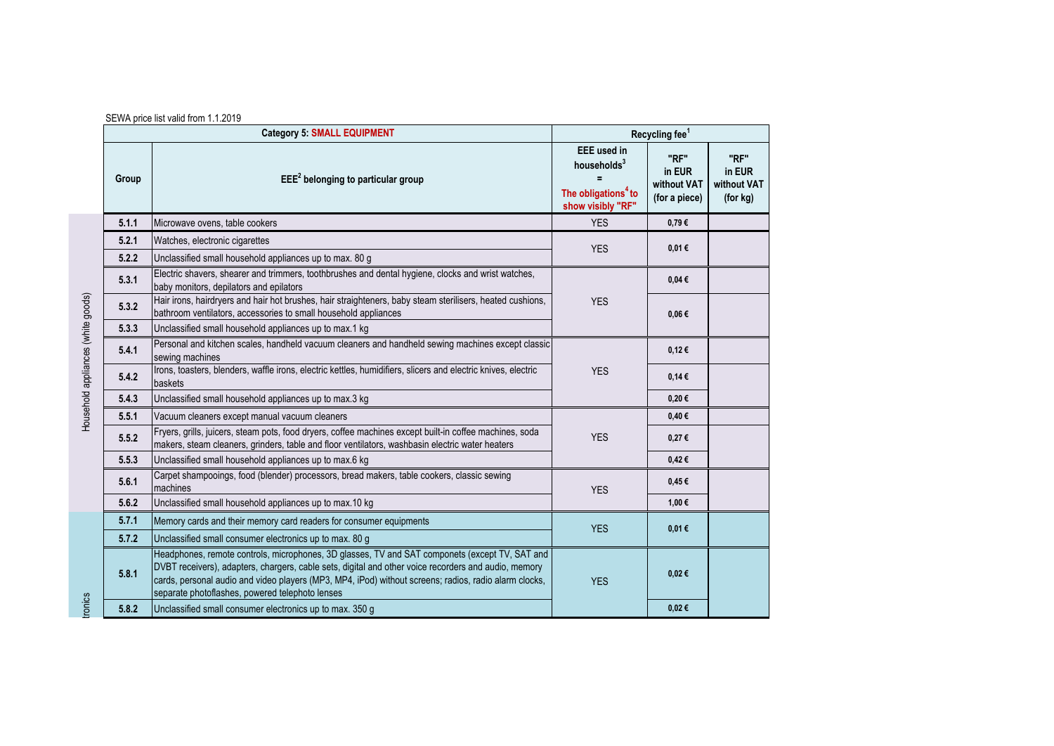|       | <b>Category 5: SMALL EQUIPMENT</b>                                                                                                                                                                                                                                                                                                                                 |                                                                                                       | Recycling fee <sup>1</sup>                     |                                           |
|-------|--------------------------------------------------------------------------------------------------------------------------------------------------------------------------------------------------------------------------------------------------------------------------------------------------------------------------------------------------------------------|-------------------------------------------------------------------------------------------------------|------------------------------------------------|-------------------------------------------|
| Group | $EEE2$ belonging to particular group                                                                                                                                                                                                                                                                                                                               | <b>EEE</b> used in<br>households <sup>3</sup><br>The obligations <sup>4</sup> to<br>show visibly "RF" | "RF"<br>in EUR<br>without VAT<br>(for a piece) | "RF"<br>in EUR<br>without VAT<br>(for kg) |
| 5.1.1 | Microwave ovens, table cookers                                                                                                                                                                                                                                                                                                                                     | <b>YES</b>                                                                                            | $0.79 \in$                                     |                                           |
| 5.2.1 | Watches, electronic cigarettes                                                                                                                                                                                                                                                                                                                                     | <b>YES</b>                                                                                            | 0,01€                                          |                                           |
| 5.2.2 | Unclassified small household appliances up to max. 80 g                                                                                                                                                                                                                                                                                                            |                                                                                                       |                                                |                                           |
| 5.3.1 | Electric shavers, shearer and trimmers, toothbrushes and dental hygiene, clocks and wrist watches,<br>baby monitors, depilators and epilators                                                                                                                                                                                                                      |                                                                                                       | $0.04 \in$                                     |                                           |
| 5.3.2 | Hair irons, hairdryers and hair hot brushes, hair straighteners, baby steam sterilisers, heated cushions,<br>bathroom ventilators, accessories to small household appliances                                                                                                                                                                                       | <b>YES</b>                                                                                            | $0.06 \in$                                     |                                           |
| 5.3.3 | Unclassified small household appliances up to max.1 kg                                                                                                                                                                                                                                                                                                             |                                                                                                       |                                                |                                           |
| 5.4.1 | Personal and kitchen scales, handheld vacuum cleaners and handheld sewing machines except classic<br>sewing machines                                                                                                                                                                                                                                               |                                                                                                       | 0,12€                                          |                                           |
| 5.4.2 | Irons, toasters, blenders, waffle irons, electric kettles, humidifiers, slicers and electric knives, electric<br>baskets                                                                                                                                                                                                                                           | <b>YES</b>                                                                                            | 0,14€                                          |                                           |
| 5.4.3 | Unclassified small household appliances up to max.3 kg                                                                                                                                                                                                                                                                                                             |                                                                                                       | 0,20€                                          |                                           |
| 5.5.1 | Vacuum cleaners except manual vacuum cleaners                                                                                                                                                                                                                                                                                                                      |                                                                                                       | 0,40€                                          |                                           |
| 5.5.2 | Fryers, grills, juicers, steam pots, food dryers, coffee machines except built-in coffee machines, soda<br>makers, steam cleaners, grinders, table and floor ventilators, washbasin electric water heaters                                                                                                                                                         | <b>YES</b>                                                                                            | 0,27€                                          |                                           |
| 5.5.3 | Unclassified small household appliances up to max.6 kg                                                                                                                                                                                                                                                                                                             |                                                                                                       | 0,42€                                          |                                           |
| 5.6.1 | Carpet shampooings, food (blender) processors, bread makers, table cookers, classic sewing<br>machines                                                                                                                                                                                                                                                             | <b>YES</b>                                                                                            | $0,45 \in$                                     |                                           |
| 5.6.2 | Unclassified small household appliances up to max.10 kg                                                                                                                                                                                                                                                                                                            |                                                                                                       | 1,00€                                          |                                           |
| 5.7.1 | Memory cards and their memory card readers for consumer equipments                                                                                                                                                                                                                                                                                                 | <b>YES</b>                                                                                            | 0,01€                                          |                                           |
| 5.7.2 | Unclassified small consumer electronics up to max. 80 g                                                                                                                                                                                                                                                                                                            |                                                                                                       |                                                |                                           |
| 5.8.1 | Headphones, remote controls, microphones, 3D glasses, TV and SAT componets (except TV, SAT and<br>DVBT receivers), adapters, chargers, cable sets, digital and other voice recorders and audio, memory<br>cards, personal audio and video players (MP3, MP4, iPod) without screens; radios, radio alarm clocks,<br>separate photoflashes, powered telephoto lenses | <b>YES</b>                                                                                            | 0,02€                                          |                                           |
| 5.8.2 | Unclassified small consumer electronics up to max. 350 g                                                                                                                                                                                                                                                                                                           |                                                                                                       | 0.02€                                          |                                           |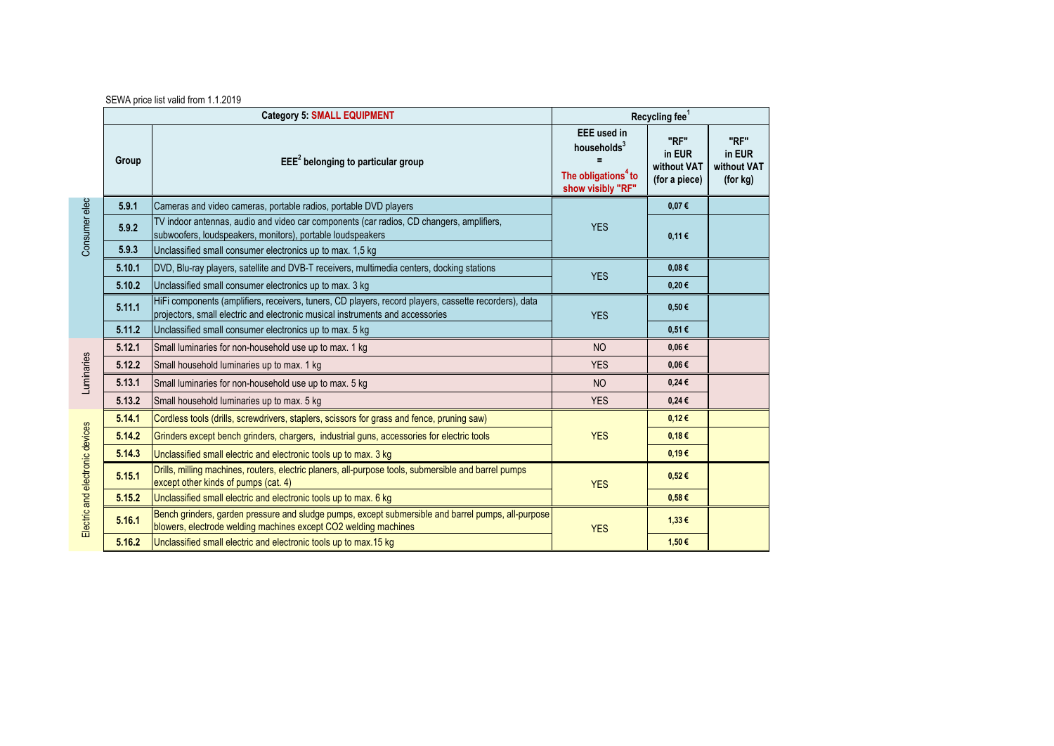|                                 |        | <b>Category 5: SMALL EQUIPMENT</b>                                                                                                                                                     | Recycling fee <sup>1</sup>                                                                            |                                                |                                           |  |
|---------------------------------|--------|----------------------------------------------------------------------------------------------------------------------------------------------------------------------------------------|-------------------------------------------------------------------------------------------------------|------------------------------------------------|-------------------------------------------|--|
|                                 | Group  | $EEE2$ belonging to particular group                                                                                                                                                   | <b>EEE</b> used in<br>households <sup>3</sup><br>The obligations <sup>4</sup> to<br>show visibly "RF" | "RF"<br>in EUR<br>without VAT<br>(for a piece) | "RF"<br>in EUR<br>without VAT<br>(for kg) |  |
| Consumer elect                  | 5.9.1  | Cameras and video cameras, portable radios, portable DVD players                                                                                                                       |                                                                                                       | 0,07€                                          |                                           |  |
|                                 | 5.9.2  | TV indoor antennas, audio and video car components (car radios, CD changers, amplifiers,<br>subwoofers, loudspeakers, monitors), portable loudspeakers                                 | <b>YES</b>                                                                                            | 0,11€                                          |                                           |  |
|                                 | 5.9.3  | Unclassified small consumer electronics up to max. 1,5 kg                                                                                                                              |                                                                                                       |                                                |                                           |  |
|                                 | 5.10.1 | DVD, Blu-ray players, satellite and DVB-T receivers, multimedia centers, docking stations                                                                                              | <b>YES</b>                                                                                            | 0,08€                                          |                                           |  |
|                                 | 5.10.2 | Unclassified small consumer electronics up to max. 3 kg                                                                                                                                |                                                                                                       | 0,20€                                          |                                           |  |
|                                 | 5.11.1 | HiFi components (amplifiers, receivers, tuners, CD players, record players, cassette recorders), data<br>projectors, small electric and electronic musical instruments and accessories | <b>YES</b>                                                                                            | $0,50 \in$                                     |                                           |  |
|                                 | 5.11.2 | Unclassified small consumer electronics up to max. 5 kg                                                                                                                                |                                                                                                       | 0,51€                                          |                                           |  |
|                                 | 5.12.1 | Small luminaries for non-household use up to max. 1 kg                                                                                                                                 | N <sub>O</sub>                                                                                        | $0.06 \in$                                     |                                           |  |
|                                 | 5.12.2 | Small household luminaries up to max. 1 kg                                                                                                                                             | <b>YES</b>                                                                                            | $0.06 \in$                                     |                                           |  |
| Luminaries                      | 5.13.1 | Small luminaries for non-household use up to max. 5 kg                                                                                                                                 | <b>NO</b>                                                                                             | 0,24€                                          |                                           |  |
|                                 | 5.13.2 | Small household luminaries up to max. 5 kg                                                                                                                                             | <b>YES</b>                                                                                            | $0,24 \in$                                     |                                           |  |
| Electric and electronic devices | 5.14.1 | Cordless tools (drills, screwdrivers, staplers, scissors for grass and fence, pruning saw)                                                                                             |                                                                                                       | 0,12€                                          |                                           |  |
|                                 | 5.14.2 | Grinders except bench grinders, chargers, industrial guns, accessories for electric tools                                                                                              | <b>YES</b>                                                                                            | 0,18€                                          |                                           |  |
|                                 | 5.14.3 | Unclassified small electric and electronic tools up to max. 3 kg                                                                                                                       |                                                                                                       | 0,19€                                          |                                           |  |
|                                 | 5.15.1 | Drills, milling machines, routers, electric planers, all-purpose tools, submersible and barrel pumps<br>except other kinds of pumps (cat. 4)                                           | <b>YES</b>                                                                                            | $0,52 \in$                                     |                                           |  |
|                                 | 5.15.2 | Unclassified small electric and electronic tools up to max. 6 kg                                                                                                                       |                                                                                                       | $0,58 \in$                                     |                                           |  |
|                                 | 5.16.1 | Bench grinders, garden pressure and sludge pumps, except submersible and barrel pumps, all-purpose<br>blowers, electrode welding machines except CO2 welding machines                  | <b>YES</b>                                                                                            | 1,33 €                                         |                                           |  |
|                                 | 5.16.2 | Unclassified small electric and electronic tools up to max.15 kg                                                                                                                       |                                                                                                       | 1,50 €                                         |                                           |  |